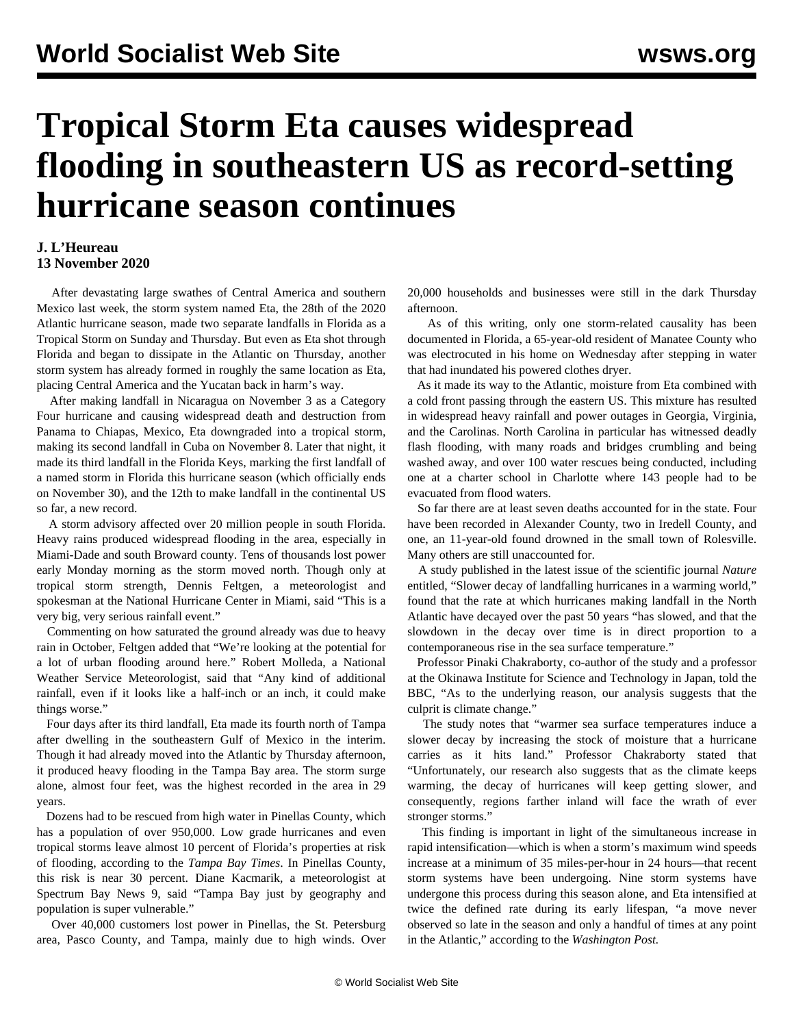## **Tropical Storm Eta causes widespread flooding in southeastern US as record-setting hurricane season continues**

## **J. L'Heureau 13 November 2020**

 After devastating large swathes of Central America and southern Mexico last week, the storm system named Eta, the 28th of the 2020 Atlantic hurricane season, made two separate landfalls in Florida as a Tropical Storm on Sunday and Thursday. But even as Eta shot through Florida and began to dissipate in the Atlantic on Thursday, another storm system has already formed in roughly the same location as Eta, placing Central America and the Yucatan back in harm's way.

 After making landfall in Nicaragua on November 3 as a Category Four hurricane and causing widespread death and destruction from Panama to Chiapas, Mexico, Eta downgraded into a tropical storm, making its second landfall in Cuba on November 8. Later that night, it made its third landfall in the Florida Keys, marking the first landfall of a named storm in Florida this hurricane season (which officially ends on November 30), and the 12th to make landfall in the continental US so far, a new record.

 A storm advisory affected over 20 million people in south Florida. Heavy rains produced widespread flooding in the area, especially in Miami-Dade and south Broward county. Tens of thousands lost power early Monday morning as the storm moved north. Though only at tropical storm strength, Dennis Feltgen, a meteorologist and spokesman at the National Hurricane Center in Miami, said "This is a very big, very serious rainfall event."

 Commenting on how saturated the ground already was due to heavy rain in October, Feltgen added that "We're looking at the potential for a lot of urban flooding around here." Robert Molleda, a National Weather Service Meteorologist, said that "Any kind of additional rainfall, even if it looks like a half-inch or an inch, it could make things worse."

 Four days after its third landfall, Eta made its fourth north of Tampa after dwelling in the southeastern Gulf of Mexico in the interim. Though it had already moved into the Atlantic by Thursday afternoon, it produced heavy flooding in the Tampa Bay area. The storm surge alone, almost four feet, was the highest recorded in the area in 29 years.

 Dozens had to be rescued from high water in Pinellas County, which has a population of over 950,000. Low grade hurricanes and even tropical storms leave almost 10 percent of Florida's properties at risk of flooding, according to the *Tampa Bay Times*. In Pinellas County, this risk is near 30 percent. Diane Kacmarik, a meteorologist at Spectrum Bay News 9, said "Tampa Bay just by geography and population is super vulnerable."

 Over 40,000 customers lost power in Pinellas, the St. Petersburg area, Pasco County, and Tampa, mainly due to high winds. Over 20,000 households and businesses were still in the dark Thursday afternoon.

 As of this writing, only one storm-related causality has been documented in Florida, a 65-year-old resident of Manatee County who was electrocuted in his home on Wednesday after stepping in water that had inundated his powered clothes dryer.

 As it made its way to the Atlantic, moisture from Eta combined with a cold front passing through the eastern US. This mixture has resulted in widespread heavy rainfall and power outages in Georgia, Virginia, and the Carolinas. North Carolina in particular has witnessed deadly flash flooding, with many roads and bridges crumbling and being washed away, and over 100 water rescues being conducted, including one at a charter school in Charlotte where 143 people had to be evacuated from flood waters.

 So far there are at least seven deaths accounted for in the state. Four have been recorded in Alexander County, two in Iredell County, and one, an 11-year-old found drowned in the small town of Rolesville. Many others are still unaccounted for.

 A study published in the latest issue of the scientific journal *Nature* entitled, "Slower decay of landfalling hurricanes in a warming world," found that the rate at which hurricanes making landfall in the North Atlantic have decayed over the past 50 years "has slowed, and that the slowdown in the decay over time is in direct proportion to a contemporaneous rise in the sea surface temperature."

 Professor Pinaki Chakraborty, co-author of the study and a professor at the Okinawa Institute for Science and Technology in Japan, told the BBC, "As to the underlying reason, our analysis suggests that the culprit is climate change."

 The study notes that "warmer sea surface temperatures induce a slower decay by increasing the stock of moisture that a hurricane carries as it hits land." Professor Chakraborty stated that "Unfortunately, our research also suggests that as the climate keeps warming, the decay of hurricanes will keep getting slower, and consequently, regions farther inland will face the wrath of ever stronger storms."

 This finding is important in light of the simultaneous increase in rapid intensification—which is when a storm's maximum wind speeds increase at a minimum of 35 miles-per-hour in 24 hours—that recent storm systems have been undergoing. Nine storm systems have undergone this process during this season alone, and Eta intensified at twice the defined rate during its early lifespan, "a move never observed so late in the season and only a handful of times at any point in the Atlantic," according to the *Washington Post.*